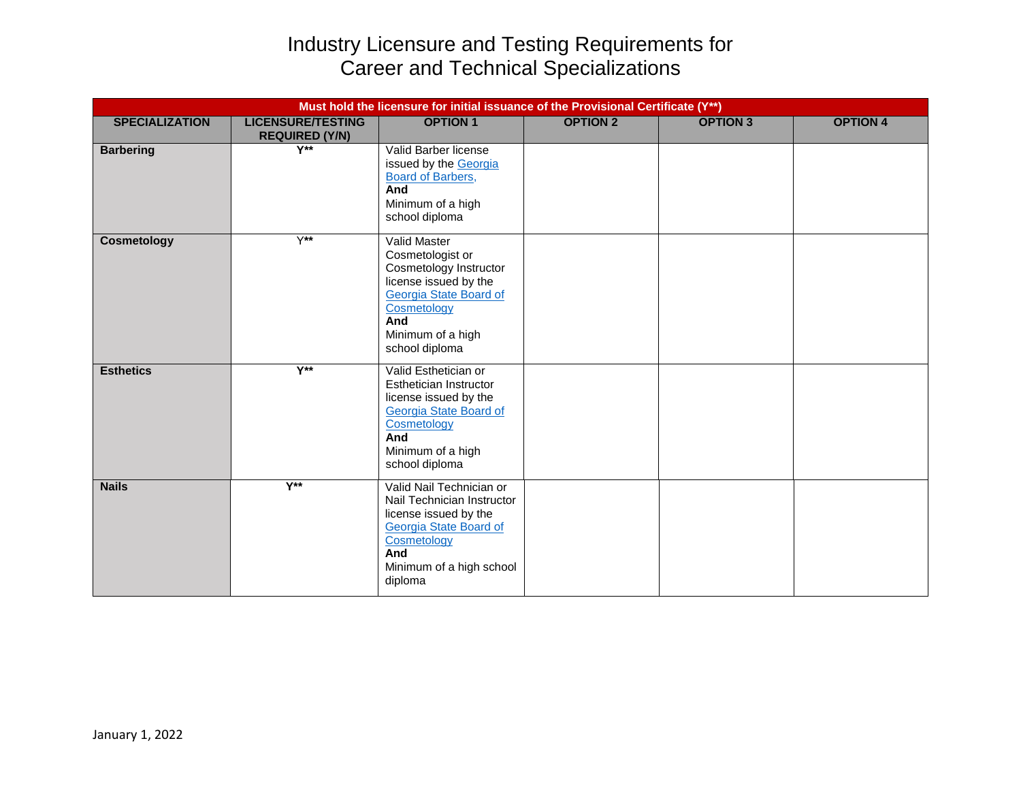## Industry Licensure and Testing Requirements for Career and Technical Specializations

|                       |                                                   | Must hold the licensure for initial issuance of the Provisional Certificate (Y**)                                                                                                 |                 |                 |                 |
|-----------------------|---------------------------------------------------|-----------------------------------------------------------------------------------------------------------------------------------------------------------------------------------|-----------------|-----------------|-----------------|
| <b>SPECIALIZATION</b> | <b>LICENSURE/TESTING</b><br><b>REQUIRED (Y/N)</b> | <b>OPTION 1</b>                                                                                                                                                                   | <b>OPTION 2</b> | <b>OPTION 3</b> | <b>OPTION 4</b> |
| <b>Barbering</b>      | $Y^{\ast\ast}$                                    | Valid Barber license<br>issued by the Georgia<br><b>Board of Barbers,</b><br>And<br>Minimum of a high<br>school diploma                                                           |                 |                 |                 |
| <b>Cosmetology</b>    | $Y^{\star\star}$                                  | <b>Valid Master</b><br>Cosmetologist or<br>Cosmetology Instructor<br>license issued by the<br>Georgia State Board of<br>Cosmetology<br>And<br>Minimum of a high<br>school diploma |                 |                 |                 |
| <b>Esthetics</b>      | $V^{\star\star}$                                  | Valid Esthetician or<br>Esthetician Instructor<br>license issued by the<br>Georgia State Board of<br>Cosmetology<br>And<br>Minimum of a high<br>school diploma                    |                 |                 |                 |
| <b>Nails</b>          | $Y^{\star\star}$                                  | Valid Nail Technician or<br>Nail Technician Instructor<br>license issued by the<br><b>Georgia State Board of</b><br>Cosmetology<br>And<br>Minimum of a high school<br>diploma     |                 |                 |                 |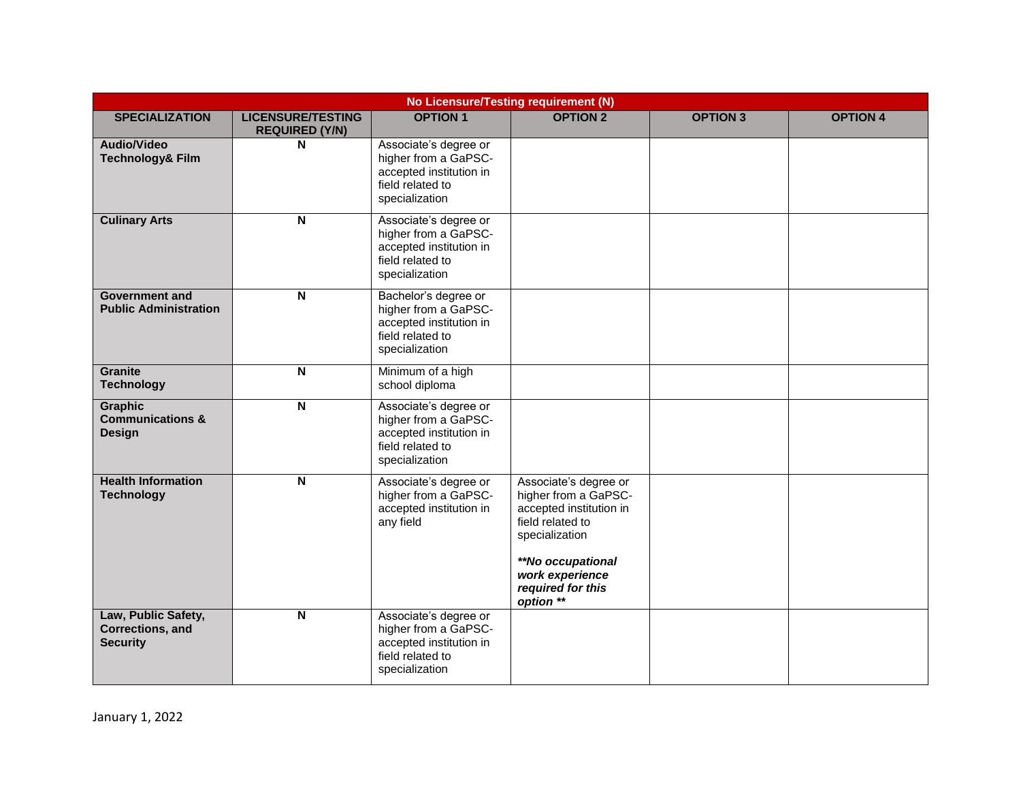| No Licensure/Testing requirement (N)                           |                                                   |                                                                                                                |                                                                                                                                                                                          |                 |                 |  |  |
|----------------------------------------------------------------|---------------------------------------------------|----------------------------------------------------------------------------------------------------------------|------------------------------------------------------------------------------------------------------------------------------------------------------------------------------------------|-----------------|-----------------|--|--|
| <b>SPECIALIZATION</b>                                          | <b>LICENSURE/TESTING</b><br><b>REQUIRED (Y/N)</b> | <b>OPTION 1</b>                                                                                                | <b>OPTION 2</b>                                                                                                                                                                          | <b>OPTION 3</b> | <b>OPTION 4</b> |  |  |
| Audio/Video<br><b>Technology&amp; Film</b>                     | N                                                 | Associate's degree or<br>higher from a GaPSC-<br>accepted institution in<br>field related to<br>specialization |                                                                                                                                                                                          |                 |                 |  |  |
| <b>Culinary Arts</b>                                           | $\overline{\mathsf{N}}$                           | Associate's degree or<br>higher from a GaPSC-<br>accepted institution in<br>field related to<br>specialization |                                                                                                                                                                                          |                 |                 |  |  |
| <b>Government and</b><br><b>Public Administration</b>          | $\mathsf{N}$                                      | Bachelor's degree or<br>higher from a GaPSC-<br>accepted institution in<br>field related to<br>specialization  |                                                                                                                                                                                          |                 |                 |  |  |
| <b>Granite</b><br><b>Technology</b>                            | $\overline{\mathsf{N}}$                           | Minimum of a high<br>school diploma                                                                            |                                                                                                                                                                                          |                 |                 |  |  |
| <b>Graphic</b><br><b>Communications &amp;</b><br><b>Design</b> | $\mathsf{N}$                                      | Associate's degree or<br>higher from a GaPSC-<br>accepted institution in<br>field related to<br>specialization |                                                                                                                                                                                          |                 |                 |  |  |
| <b>Health Information</b><br><b>Technology</b>                 | $\overline{\mathbf{N}}$                           | Associate's degree or<br>higher from a GaPSC-<br>accepted institution in<br>any field                          | Associate's degree or<br>higher from a GaPSC-<br>accepted institution in<br>field related to<br>specialization<br>**No occupational<br>work experience<br>required for this<br>option ** |                 |                 |  |  |
| Law, Public Safety,<br>Corrections, and<br><b>Security</b>     | $\overline{\mathsf{N}}$                           | Associate's degree or<br>higher from a GaPSC-<br>accepted institution in<br>field related to<br>specialization |                                                                                                                                                                                          |                 |                 |  |  |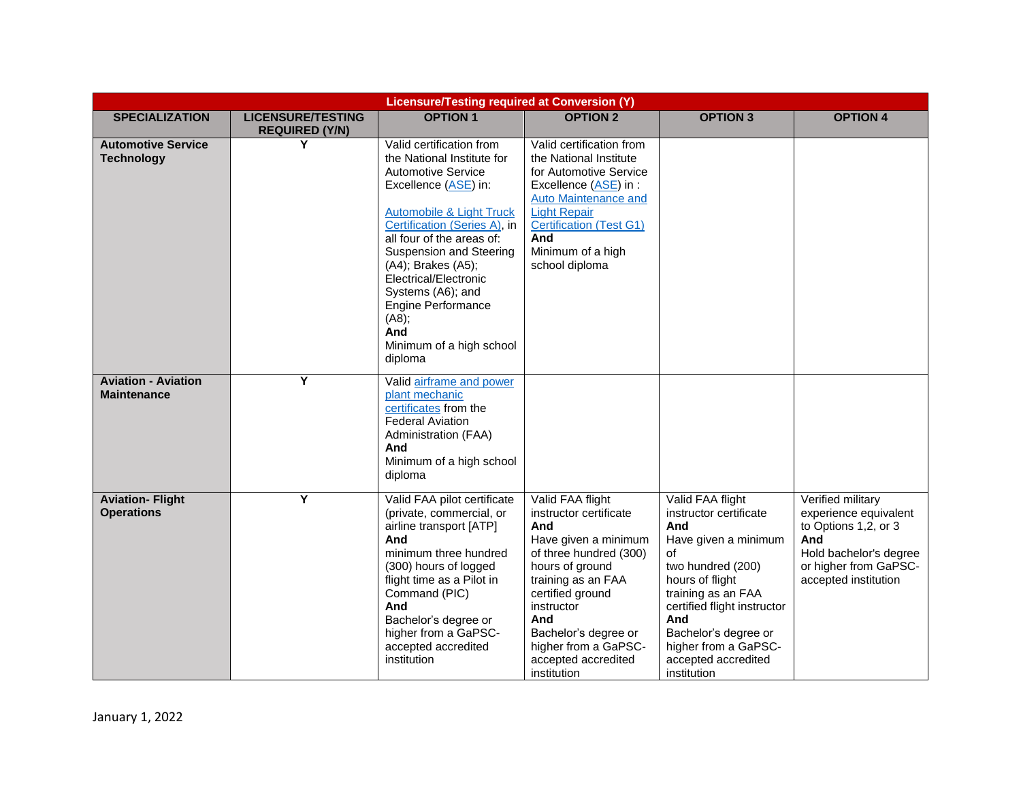|                                                  | <b>Licensure/Testing required at Conversion (Y)</b> |                                                                                                                                                                                                                                                                                                                                                                                         |                                                                                                                                                                                                                                                                             |                                                                                                                                                                                                                                                                           |                                                                                                                                                      |  |
|--------------------------------------------------|-----------------------------------------------------|-----------------------------------------------------------------------------------------------------------------------------------------------------------------------------------------------------------------------------------------------------------------------------------------------------------------------------------------------------------------------------------------|-----------------------------------------------------------------------------------------------------------------------------------------------------------------------------------------------------------------------------------------------------------------------------|---------------------------------------------------------------------------------------------------------------------------------------------------------------------------------------------------------------------------------------------------------------------------|------------------------------------------------------------------------------------------------------------------------------------------------------|--|
| <b>SPECIALIZATION</b>                            | <b>LICENSURE/TESTING</b><br><b>REQUIRED (Y/N)</b>   | <b>OPTION 1</b>                                                                                                                                                                                                                                                                                                                                                                         | <b>OPTION 2</b>                                                                                                                                                                                                                                                             | <b>OPTION 3</b>                                                                                                                                                                                                                                                           | <b>OPTION 4</b>                                                                                                                                      |  |
| <b>Automotive Service</b><br><b>Technology</b>   | Y                                                   | Valid certification from<br>the National Institute for<br><b>Automotive Service</b><br>Excellence (ASE) in:<br>Automobile & Light Truck<br>Certification (Series A), in<br>all four of the areas of:<br>Suspension and Steering<br>(A4); Brakes (A5);<br>Electrical/Electronic<br>Systems (A6); and<br><b>Engine Performance</b><br>(AB);<br>And<br>Minimum of a high school<br>diploma | Valid certification from<br>the National Institute<br>for Automotive Service<br>Excellence (ASE) in :<br><b>Auto Maintenance and</b><br><b>Light Repair</b><br><b>Certification (Test G1)</b><br>And<br>Minimum of a high<br>school diploma                                 |                                                                                                                                                                                                                                                                           |                                                                                                                                                      |  |
| <b>Aviation - Aviation</b><br><b>Maintenance</b> | Ÿ                                                   | Valid airframe and power<br>plant mechanic<br>certificates from the<br><b>Federal Aviation</b><br>Administration (FAA)<br>And<br>Minimum of a high school<br>diploma                                                                                                                                                                                                                    |                                                                                                                                                                                                                                                                             |                                                                                                                                                                                                                                                                           |                                                                                                                                                      |  |
| <b>Aviation-Flight</b><br><b>Operations</b>      | Y                                                   | Valid FAA pilot certificate<br>(private, commercial, or<br>airline transport [ATP]<br>And<br>minimum three hundred<br>(300) hours of logged<br>flight time as a Pilot in<br>Command (PIC)<br>And<br>Bachelor's degree or<br>higher from a GaPSC-<br>accepted accredited<br>institution                                                                                                  | Valid FAA flight<br>instructor certificate<br>And<br>Have given a minimum<br>of three hundred (300)<br>hours of ground<br>training as an FAA<br>certified ground<br>instructor<br>And<br>Bachelor's degree or<br>higher from a GaPSC-<br>accepted accredited<br>institution | Valid FAA flight<br>instructor certificate<br>And<br>Have given a minimum<br>of<br>two hundred (200)<br>hours of flight<br>training as an FAA<br>certified flight instructor<br>And<br>Bachelor's degree or<br>higher from a GaPSC-<br>accepted accredited<br>institution | Verified military<br>experience equivalent<br>to Options 1,2, or 3<br>And<br>Hold bachelor's degree<br>or higher from GaPSC-<br>accepted institution |  |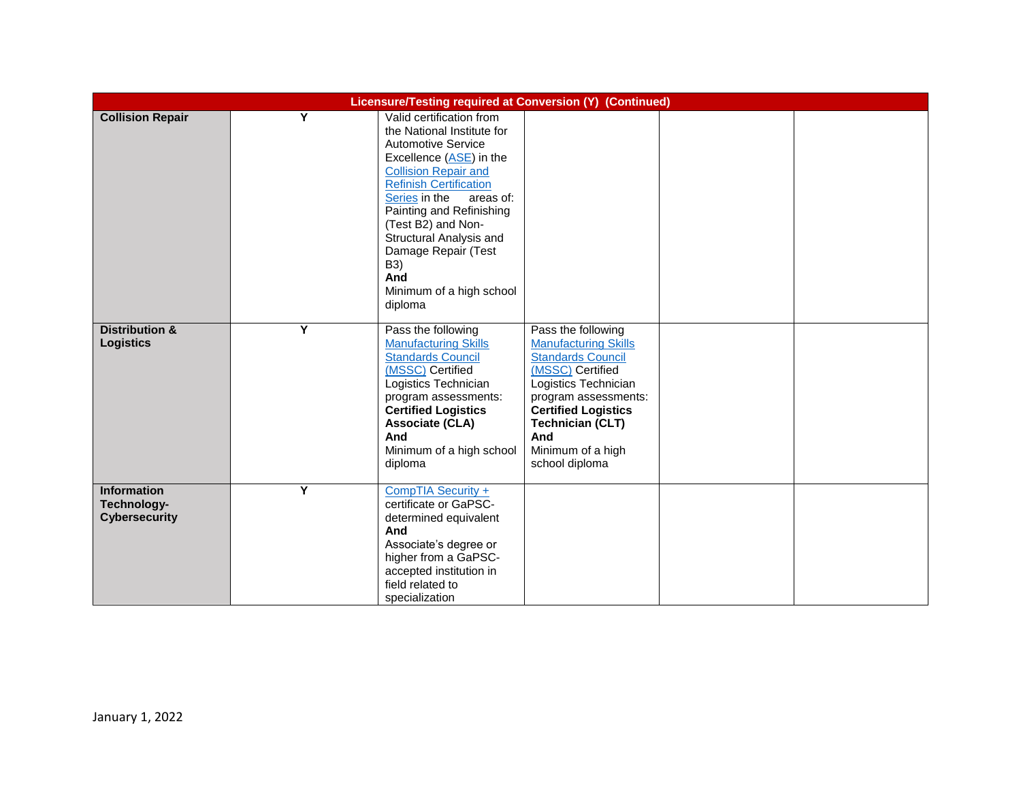|                                                           | Licensure/Testing required at Conversion (Y) (Continued) |                                                                                                                                                                                                                                                                                                                                                                       |                                                                                                                                                                                                                                                          |  |  |  |
|-----------------------------------------------------------|----------------------------------------------------------|-----------------------------------------------------------------------------------------------------------------------------------------------------------------------------------------------------------------------------------------------------------------------------------------------------------------------------------------------------------------------|----------------------------------------------------------------------------------------------------------------------------------------------------------------------------------------------------------------------------------------------------------|--|--|--|
| <b>Collision Repair</b>                                   | Y                                                        | Valid certification from<br>the National Institute for<br><b>Automotive Service</b><br>Excellence (ASE) in the<br><b>Collision Repair and</b><br><b>Refinish Certification</b><br>Series in the<br>areas of:<br>Painting and Refinishing<br>(Test B2) and Non-<br>Structural Analysis and<br>Damage Repair (Test<br>B3)<br>And<br>Minimum of a high school<br>diploma |                                                                                                                                                                                                                                                          |  |  |  |
| <b>Distribution &amp;</b><br><b>Logistics</b>             | Y                                                        | Pass the following<br><b>Manufacturing Skills</b><br><b>Standards Council</b><br>(MSSC) Certified<br>Logistics Technician<br>program assessments:<br><b>Certified Logistics</b><br><b>Associate (CLA)</b><br>And<br>Minimum of a high school<br>diploma                                                                                                               | Pass the following<br><b>Manufacturing Skills</b><br><b>Standards Council</b><br>(MSSC) Certified<br>Logistics Technician<br>program assessments:<br><b>Certified Logistics</b><br><b>Technician (CLT)</b><br>And<br>Minimum of a high<br>school diploma |  |  |  |
| <b>Information</b><br>Technology-<br><b>Cybersecurity</b> | Y                                                        | CompTIA Security +<br>certificate or GaPSC-<br>determined equivalent<br>And<br>Associate's degree or<br>higher from a GaPSC-<br>accepted institution in<br>field related to<br>specialization                                                                                                                                                                         |                                                                                                                                                                                                                                                          |  |  |  |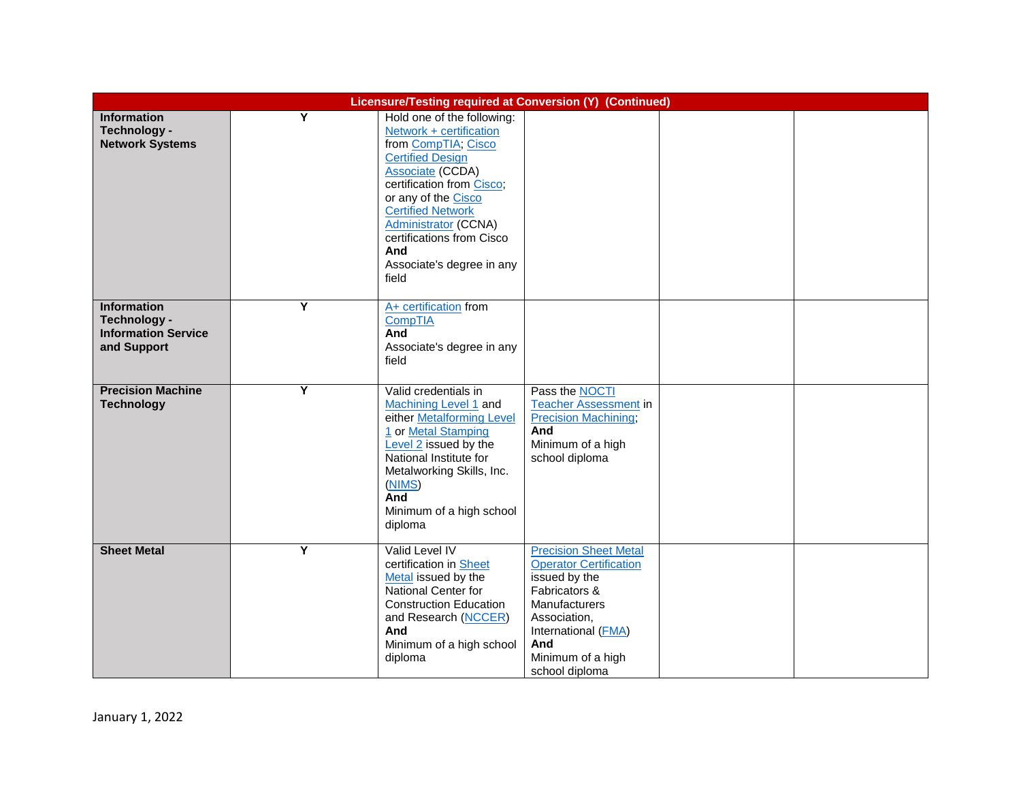|                                                                          | Licensure/Testing required at Conversion (Y) (Continued) |                                                                                                                                                                                                                                                                                                                             |                                                                                                                                                                                                              |  |  |  |
|--------------------------------------------------------------------------|----------------------------------------------------------|-----------------------------------------------------------------------------------------------------------------------------------------------------------------------------------------------------------------------------------------------------------------------------------------------------------------------------|--------------------------------------------------------------------------------------------------------------------------------------------------------------------------------------------------------------|--|--|--|
| <b>Information</b><br>Technology -<br><b>Network Systems</b>             | Y                                                        | Hold one of the following:<br>Network + certification<br>from CompTIA; Cisco<br><b>Certified Design</b><br><b>Associate (CCDA)</b><br>certification from Cisco;<br>or any of the Cisco<br><b>Certified Network</b><br><b>Administrator (CCNA)</b><br>certifications from Cisco<br>And<br>Associate's degree in any<br>field |                                                                                                                                                                                                              |  |  |  |
| Information<br>Technology -<br><b>Information Service</b><br>and Support | Υ                                                        | A+ certification from<br>CompTIA<br>And<br>Associate's degree in any<br>field                                                                                                                                                                                                                                               |                                                                                                                                                                                                              |  |  |  |
| <b>Precision Machine</b><br><b>Technology</b>                            | Υ                                                        | Valid credentials in<br>Machining Level 1 and<br>either Metalforming Level<br>1 or Metal Stamping<br>Level 2 issued by the<br>National Institute for<br>Metalworking Skills, Inc.<br>(NIMS)<br>And<br>Minimum of a high school<br>diploma                                                                                   | Pass the NOCTI<br><b>Teacher Assessment in</b><br><b>Precision Machining;</b><br>And<br>Minimum of a high<br>school diploma                                                                                  |  |  |  |
| <b>Sheet Metal</b>                                                       | Ÿ                                                        | Valid Level IV<br>certification in Sheet<br>Metal issued by the<br>National Center for<br><b>Construction Education</b><br>and Research (NCCER)<br>And<br>Minimum of a high school<br>diploma                                                                                                                               | <b>Precision Sheet Metal</b><br><b>Operator Certification</b><br>issued by the<br>Fabricators &<br><b>Manufacturers</b><br>Association,<br>International (FMA)<br>And<br>Minimum of a high<br>school diploma |  |  |  |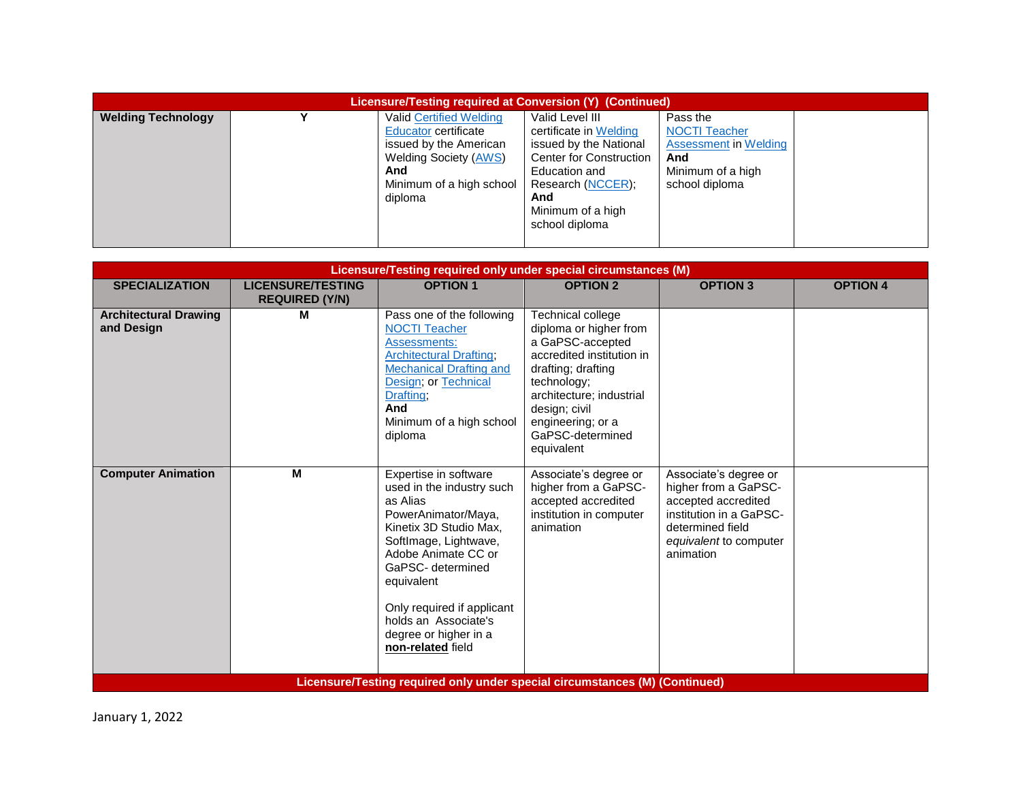| <b>Licensure/Testing required at Conversion (Y) (Continued)</b> |  |                                                                                                                                                                |                                                                                                                                                                         |                                                                                                         |  |  |  |
|-----------------------------------------------------------------|--|----------------------------------------------------------------------------------------------------------------------------------------------------------------|-------------------------------------------------------------------------------------------------------------------------------------------------------------------------|---------------------------------------------------------------------------------------------------------|--|--|--|
| <b>Welding Technology</b>                                       |  | <b>Valid Certified Welding</b><br>Educator certificate<br>issued by the American<br><b>Welding Society (AWS)</b><br>And<br>Minimum of a high school<br>diploma | Valid Level III<br>certificate in Welding<br>issued by the National<br><b>Center for Construction</b><br>Education and<br>Research (NCCER);<br>And<br>Minimum of a high | Pass the<br><b>NOCTI Teacher</b><br>Assessment in Welding<br>And<br>Minimum of a high<br>school diploma |  |  |  |
|                                                                 |  |                                                                                                                                                                | school diploma                                                                                                                                                          |                                                                                                         |  |  |  |

| Licensure/Testing required only under special circumstances (M) |                          |                                                                                                                                                                                                                                                                                                        |                                                                                                                                                                                                                                       |                                                                                                                                                            |                 |  |
|-----------------------------------------------------------------|--------------------------|--------------------------------------------------------------------------------------------------------------------------------------------------------------------------------------------------------------------------------------------------------------------------------------------------------|---------------------------------------------------------------------------------------------------------------------------------------------------------------------------------------------------------------------------------------|------------------------------------------------------------------------------------------------------------------------------------------------------------|-----------------|--|
| <b>SPECIALIZATION</b>                                           | <b>LICENSURE/TESTING</b> | <b>OPTION 1</b>                                                                                                                                                                                                                                                                                        | <b>OPTION 2</b>                                                                                                                                                                                                                       | <b>OPTION 3</b>                                                                                                                                            | <b>OPTION 4</b> |  |
|                                                                 | <b>REQUIRED (Y/N)</b>    |                                                                                                                                                                                                                                                                                                        |                                                                                                                                                                                                                                       |                                                                                                                                                            |                 |  |
| <b>Architectural Drawing</b><br>and Design                      | м                        | Pass one of the following<br><b>NOCTI Teacher</b><br>Assessments:<br><b>Architectural Drafting</b><br><b>Mechanical Drafting and</b><br>Design; or Technical<br>Drafting;<br>And<br>Minimum of a high school<br>diploma                                                                                | Technical college<br>diploma or higher from<br>a GaPSC-accepted<br>accredited institution in<br>drafting; drafting<br>technology;<br>architecture; industrial<br>design; civil<br>engineering; or a<br>GaPSC-determined<br>equivalent |                                                                                                                                                            |                 |  |
| <b>Computer Animation</b>                                       | M                        | Expertise in software<br>used in the industry such<br>as Alias<br>PowerAnimator/Maya,<br>Kinetix 3D Studio Max.<br>SoftImage, Lightwave,<br>Adobe Animate CC or<br>GaPSC- determined<br>equivalent<br>Only required if applicant<br>holds an Associate's<br>degree or higher in a<br>non-related field | Associate's degree or<br>higher from a GaPSC-<br>accepted accredited<br>institution in computer<br>animation                                                                                                                          | Associate's degree or<br>higher from a GaPSC-<br>accepted accredited<br>institution in a GaPSC-<br>determined field<br>equivalent to computer<br>animation |                 |  |
|                                                                 |                          | Licensure/Testing required only under special circumstances (M) (Continued)                                                                                                                                                                                                                            |                                                                                                                                                                                                                                       |                                                                                                                                                            |                 |  |

January 1, 2022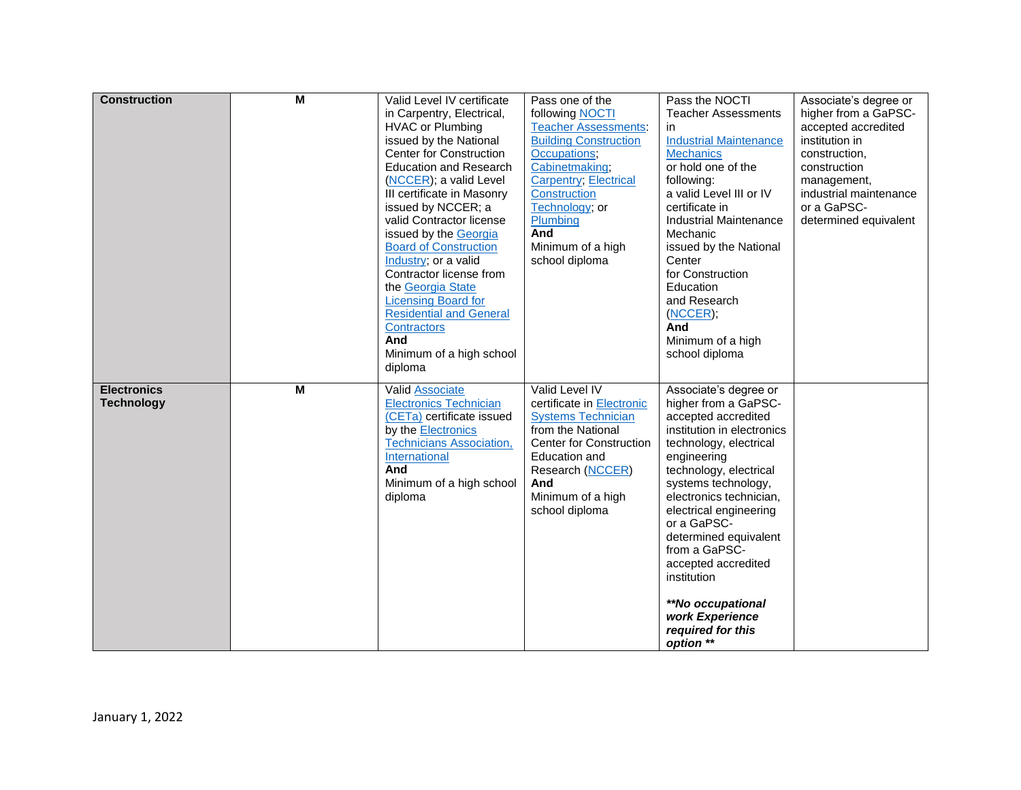| <b>Construction</b> | M              | Valid Level IV certificate      | Pass one of the                | Pass the NOCTI                  | Associate's degree or  |
|---------------------|----------------|---------------------------------|--------------------------------|---------------------------------|------------------------|
|                     |                | in Carpentry, Electrical,       | following NOCTI                | <b>Teacher Assessments</b>      | higher from a GaPSC-   |
|                     |                | <b>HVAC or Plumbing</b>         | <b>Teacher Assessments:</b>    | in                              | accepted accredited    |
|                     |                | issued by the National          | <b>Building Construction</b>   | <b>Industrial Maintenance</b>   | institution in         |
|                     |                | <b>Center for Construction</b>  | Occupations;                   | <b>Mechanics</b>                | construction,          |
|                     |                | <b>Education and Research</b>   | Cabinetmaking;                 | or hold one of the              | construction           |
|                     |                | (NCCER); a valid Level          | <b>Carpentry</b> ; Electrical  | following:                      | management,            |
|                     |                | III certificate in Masonry      | Construction                   | a valid Level III or IV         | industrial maintenance |
|                     |                | issued by NCCER; a              | Technology; or                 | certificate in                  | or a GaPSC-            |
|                     |                | valid Contractor license        | Plumbing                       | <b>Industrial Maintenance</b>   | determined equivalent  |
|                     |                | issued by the Georgia           | And                            | Mechanic                        |                        |
|                     |                | <b>Board of Construction</b>    | Minimum of a high              | issued by the National          |                        |
|                     |                | Industry; or a valid            | school diploma                 | Center                          |                        |
|                     |                | Contractor license from         |                                | for Construction                |                        |
|                     |                | the Georgia State               |                                | Education                       |                        |
|                     |                | <b>Licensing Board for</b>      |                                | and Research                    |                        |
|                     |                | <b>Residential and General</b>  |                                | (NCCER);                        |                        |
|                     |                | <b>Contractors</b>              |                                | And                             |                        |
|                     |                | And                             |                                | Minimum of a high               |                        |
|                     |                | Minimum of a high school        |                                | school diploma                  |                        |
|                     |                | diploma                         |                                |                                 |                        |
| <b>Electronics</b>  | $\overline{M}$ | Valid Associate                 | Valid Level IV                 | Associate's degree or           |                        |
| <b>Technology</b>   |                | <b>Electronics Technician</b>   | certificate in Electronic      | higher from a GaPSC-            |                        |
|                     |                | (CETa) certificate issued       | <b>Systems Technician</b>      | accepted accredited             |                        |
|                     |                | by the Electronics              | from the National              | institution in electronics      |                        |
|                     |                | <b>Technicians Association,</b> | <b>Center for Construction</b> | technology, electrical          |                        |
|                     |                | International                   | <b>Education and</b>           | engineering                     |                        |
|                     |                | And                             | Research (NCCER)               | technology, electrical          |                        |
|                     |                | Minimum of a high school        | And                            | systems technology,             |                        |
|                     |                | diploma                         | Minimum of a high              | electronics technician,         |                        |
|                     |                |                                 | school diploma                 | electrical engineering          |                        |
|                     |                |                                 |                                | or a GaPSC-                     |                        |
|                     |                |                                 |                                | determined equivalent           |                        |
|                     |                |                                 |                                | from a GaPSC-                   |                        |
|                     |                |                                 |                                | accepted accredited             |                        |
|                     |                |                                 |                                | institution                     |                        |
|                     |                |                                 |                                |                                 |                        |
|                     |                |                                 |                                | <i><b>**No occupational</b></i> |                        |
|                     |                |                                 |                                | work Experience                 |                        |
|                     |                |                                 |                                | required for this               |                        |
|                     |                |                                 |                                | option **                       |                        |